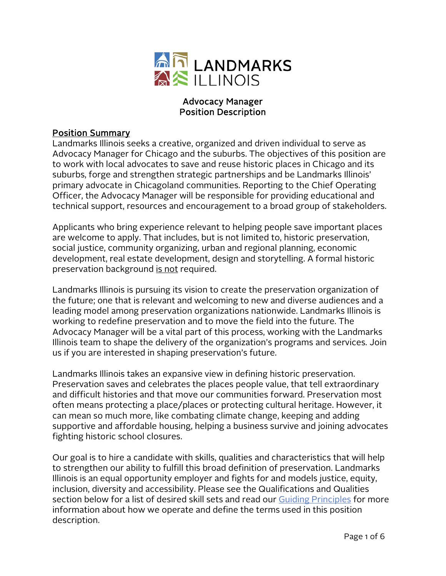

#### Advocacy Manager Position Description

#### Position Summary

Landmarks Illinois seeks a creative, organized and driven individual to serve as Advocacy Manager for Chicago and the suburbs. The objectives of this position are to work with local advocates to save and reuse historic places in Chicago and its suburbs, forge and strengthen strategic partnerships and be Landmarks Illinois' primary advocate in Chicagoland communities. Reporting to the Chief Operating Officer, the Advocacy Manager will be responsible for providing educational and technical support, resources and encouragement to a broad group of stakeholders.

Applicants who bring experience relevant to helping people save important places are welcome to apply. That includes, but is not limited to, historic preservation, social justice, community organizing, urban and regional planning, economic development, real estate development, design and storytelling. A formal historic preservation background is not required.

Landmarks Illinois is pursuing its vision to create the preservation organization of the future; one that is relevant and welcoming to new and diverse audiences and a leading model among preservation organizations nationwide. Landmarks Illinois is working to redefine preservation and to move the field into the future. The Advocacy Manager will be a vital part of this process, working with the Landmarks Illinois team to shape the delivery of the organization's programs and services. Join us if you are interested in shaping preservation's future.

Landmarks Illinois takes an expansive view in defining historic preservation. Preservation saves and celebrates the places people value, that tell extraordinary and difficult histories and that move our communities forward. Preservation most often means protecting a place/places or protecting cultural heritage. However, it can mean so much more, like combating climate change, keeping and adding supportive and affordable housing, helping a business survive and joining advocates fighting historic school closures.

Our goal is to hire a candidate with skills, qualities and characteristics that will help to strengthen our ability to fulfill this broad definition of preservation. Landmarks Illinois is an equal opportunity employer and fights for and models justice, equity, inclusion, diversity and accessibility. Please see the Qualifications and Qualities section below for a list of desired skill sets and read our [Guiding Principles](http://www.landmarks.org/wp-content/uploads/2021/06/Guiding-Principles-FINAL-APPROVED-BY-BOD-4.20.21.pdf) for more information about how we operate and define the terms used in this position description.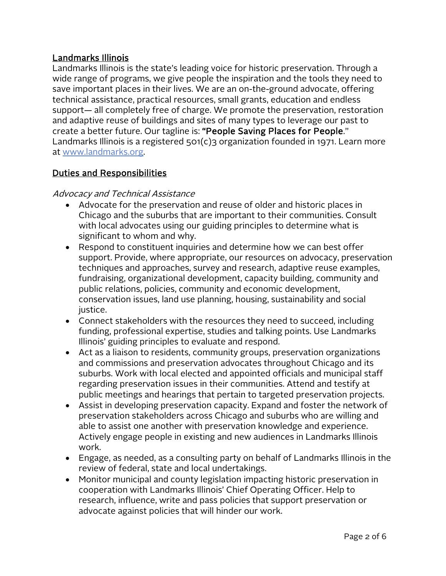## Landmarks Illinois

Landmarks Illinois is the state's leading voice for historic preservation. Through a wide range of programs, we give people the inspiration and the tools they need to save important places in their lives. We are an on-the-ground advocate, offering technical assistance, practical resources, small grants, education and endless support— all completely free of charge. We promote the preservation, restoration and adaptive reuse of buildings and sites of many types to leverage our past to create a better future. Our tagline is: "People Saving Places for People." Landmarks Illinois is a registered 501(c)3 organization founded in 1971. Learn more at [www.landmarks.org.](http://www.landmarks.org/)

# Duties and Responsibilities

#### Advocacy and Technical Assistance

- Advocate for the preservation and reuse of older and historic places in Chicago and the suburbs that are important to their communities. Consult with local advocates using our guiding principles to determine what is significant to whom and why.
- Respond to constituent inquiries and determine how we can best offer support. Provide, where appropriate, our resources on advocacy, preservation techniques and approaches, survey and research, adaptive reuse examples, fundraising, organizational development, capacity building, community and public relations, policies, community and economic development, conservation issues, land use planning, housing, sustainability and social justice.
- Connect stakeholders with the resources they need to succeed, including funding, professional expertise, studies and talking points. Use Landmarks Illinois' guiding principles to evaluate and respond.
- Act as a liaison to residents, community groups, preservation organizations and commissions and preservation advocates throughout Chicago and its suburbs. Work with local elected and appointed officials and municipal staff regarding preservation issues in their communities. Attend and testify at public meetings and hearings that pertain to targeted preservation projects.
- Assist in developing preservation capacity. Expand and foster the network of preservation stakeholders across Chicago and suburbs who are willing and able to assist one another with preservation knowledge and experience. Actively engage people in existing and new audiences in Landmarks Illinois work.
- Engage, as needed, as a consulting party on behalf of Landmarks Illinois in the review of federal, state and local undertakings.
- Monitor municipal and county legislation impacting historic preservation in cooperation with Landmarks Illinois' Chief Operating Officer. Help to research, influence, write and pass policies that support preservation or advocate against policies that will hinder our work.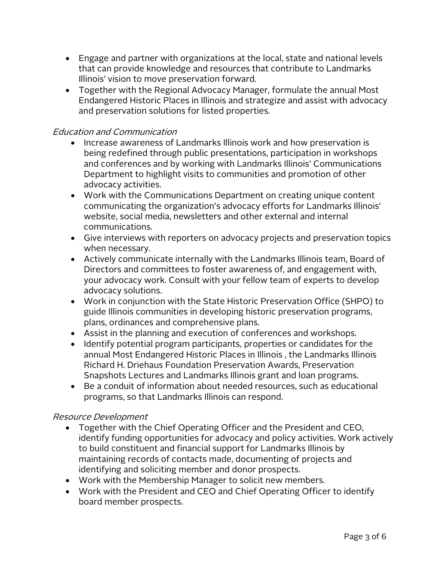- Engage and partner with organizations at the local, state and national levels that can provide knowledge and resources that contribute to Landmarks Illinois' vision to move preservation forward.
- Together with the Regional Advocacy Manager, formulate the annual Most Endangered Historic Places in Illinois and strategize and assist with advocacy and preservation solutions for listed properties.

# Education and Communication

- Increase awareness of Landmarks Illinois work and how preservation is being redefined through public presentations, participation in workshops and conferences and by working with Landmarks Illinois' Communications Department to highlight visits to communities and promotion of other advocacy activities.
- Work with the Communications Department on creating unique content communicating the organization's advocacy efforts for Landmarks Illinois' website, social media, newsletters and other external and internal communications.
- Give interviews with reporters on advocacy projects and preservation topics when necessary.
- Actively communicate internally with the Landmarks Illinois team, Board of Directors and committees to foster awareness of, and engagement with, your advocacy work. Consult with your fellow team of experts to develop advocacy solutions.
- Work in conjunction with the State Historic Preservation Office (SHPO) to guide Illinois communities in developing historic preservation programs, plans, ordinances and comprehensive plans.
- Assist in the planning and execution of conferences and workshops.
- Identify potential program participants, properties or candidates for the annual Most Endangered Historic Places in Illinois , the Landmarks Illinois Richard H. Driehaus Foundation Preservation Awards, Preservation Snapshots Lectures and Landmarks Illinois grant and loan programs.
- Be a conduit of information about needed resources, such as educational programs, so that Landmarks Illinois can respond.

# Resource Development

- Together with the Chief Operating Officer and the President and CEO, identify funding opportunities for advocacy and policy activities. Work actively to build constituent and financial support for Landmarks Illinois by maintaining records of contacts made, documenting of projects and identifying and soliciting member and donor prospects.
- Work with the Membership Manager to solicit new members.
- Work with the President and CEO and Chief Operating Officer to identify board member prospects.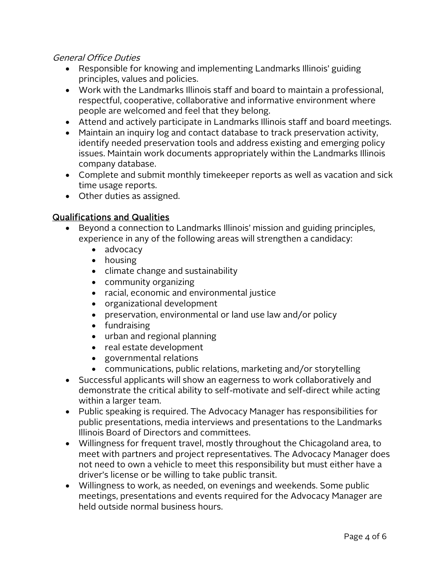#### General Office Duties

- Responsible for knowing and implementing Landmarks Illinois' guiding principles, values and policies.
- Work with the Landmarks Illinois staff and board to maintain a professional, respectful, cooperative, collaborative and informative environment where people are welcomed and feel that they belong.
- Attend and actively participate in Landmarks Illinois staff and board meetings.
- Maintain an inquiry log and contact database to track preservation activity, identify needed preservation tools and address existing and emerging policy issues. Maintain work documents appropriately within the Landmarks Illinois company database.
- Complete and submit monthly timekeeper reports as well as vacation and sick time usage reports.
- Other duties as assigned.

## Qualifications and Qualities

- Beyond a connection to Landmarks Illinois' mission and guiding principles, experience in any of the following areas will strengthen a candidacy:
	- advocacy
	- housing
	- climate change and sustainability
	- community organizing
	- racial, economic and environmental justice
	- organizational development
	- preservation, environmental or land use law and/or policy
	- fundraising
	- urban and regional planning
	- real estate development
	- governmental relations
	- communications, public relations, marketing and/or storytelling
- Successful applicants will show an eagerness to work collaboratively and demonstrate the critical ability to self-motivate and self-direct while acting within a larger team.
- Public speaking is required. The Advocacy Manager has responsibilities for public presentations, media interviews and presentations to the Landmarks Illinois Board of Directors and committees.
- Willingness for frequent travel, mostly throughout the Chicagoland area, to meet with partners and project representatives. The Advocacy Manager does not need to own a vehicle to meet this responsibility but must either have a driver's license or be willing to take public transit.
- Willingness to work, as needed, on evenings and weekends. Some public meetings, presentations and events required for the Advocacy Manager are held outside normal business hours.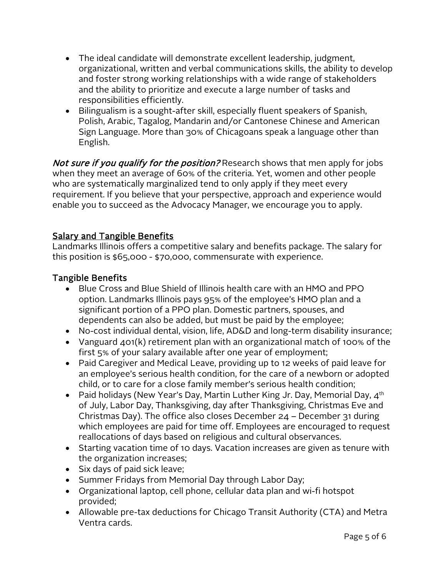- The ideal candidate will demonstrate excellent leadership, judgment, organizational, written and verbal communications skills, the ability to develop and foster strong working relationships with a wide range of stakeholders and the ability to prioritize and execute a large number of tasks and responsibilities efficiently.
- Bilingualism is a sought-after skill, especially fluent speakers of Spanish, Polish, Arabic, Tagalog, Mandarin and/or Cantonese Chinese and American Sign Language. More than 30% of Chicagoans speak a language other than English.

Not sure if you qualify for the position? Research shows that men apply for jobs when they meet an average of 60% of the criteria. Yet, women and other people who are systematically marginalized tend to only apply if they meet every requirement. If you believe that your perspective, approach and experience would enable you to succeed as the Advocacy Manager, we encourage you to apply.

# **Salary and Tangible Benefits**

Landmarks Illinois offers a competitive salary and benefits package. The salary for this position is \$65,000 - \$70,000, commensurate with experience.

# Tangible Benefits

- Blue Cross and Blue Shield of Illinois health care with an HMO and PPO option. Landmarks Illinois pays 95% of the employee's HMO plan and a significant portion of a PPO plan. Domestic partners, spouses, and dependents can also be added, but must be paid by the employee;
- No-cost individual dental, vision, life, AD&D and long-term disability insurance;
- Vanguard 401(k) retirement plan with an organizational match of 100% of the first 5% of your salary available after one year of employment;
- Paid Caregiver and Medical Leave, providing up to 12 weeks of paid leave for an employee's serious health condition, for the care of a newborn or adopted child, or to care for a close family member's serious health condition;
- Paid holidays (New Year's Day, Martin Luther King Jr. Day, Memorial Day,  $4<sup>th</sup>$ of July, Labor Day, Thanksgiving, day after Thanksgiving, Christmas Eve and Christmas Day). The office also closes December 24 – December 31 during which employees are paid for time off. Employees are encouraged to request reallocations of days based on religious and cultural observances.
- Starting vacation time of 10 days. Vacation increases are given as tenure with the organization increases;
- Six days of paid sick leave;
- Summer Fridays from Memorial Day through Labor Day;
- Organizational laptop, cell phone, cellular data plan and wi-fi hotspot provided;
- Allowable pre-tax deductions for Chicago Transit Authority (CTA) and Metra Ventra cards.